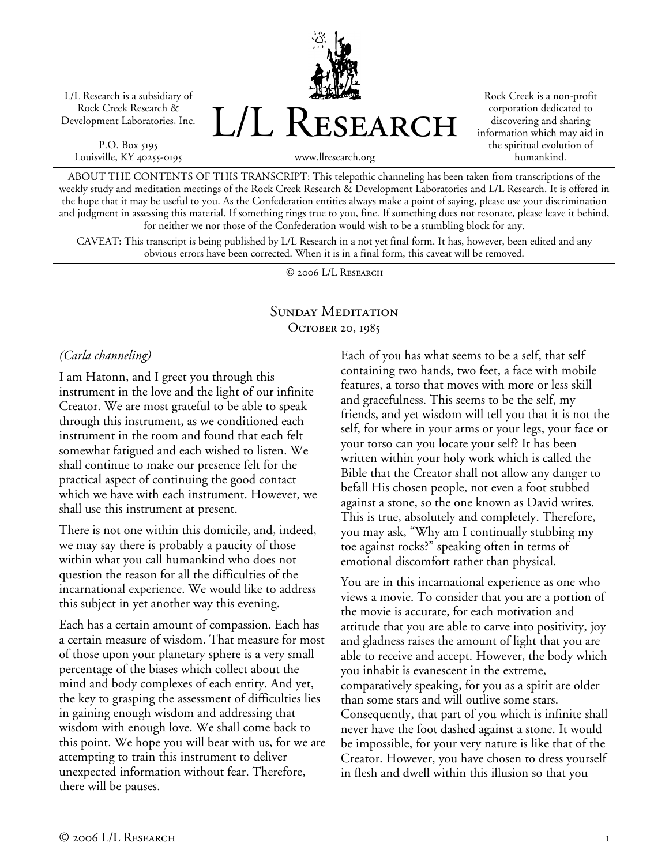L/L Research is a subsidiary of Rock Creek Research & Development Laboratories, Inc.

P.O. Box 5195 Louisville, KY 40255-0195 L/L Research

www.llresearch.org

Rock Creek is a non-profit corporation dedicated to discovering and sharing information which may aid in the spiritual evolution of humankind.

ABOUT THE CONTENTS OF THIS TRANSCRIPT: This telepathic channeling has been taken from transcriptions of the weekly study and meditation meetings of the Rock Creek Research & Development Laboratories and L/L Research. It is offered in the hope that it may be useful to you. As the Confederation entities always make a point of saying, please use your discrimination and judgment in assessing this material. If something rings true to you, fine. If something does not resonate, please leave it behind, for neither we nor those of the Confederation would wish to be a stumbling block for any.

CAVEAT: This transcript is being published by L/L Research in a not yet final form. It has, however, been edited and any obvious errors have been corrected. When it is in a final form, this caveat will be removed.

© 2006 L/L Research

# SUNDAY MEDITATION OCTOBER 20, 1985

*(Carla channeling)* 

I am Hatonn, and I greet you through this instrument in the love and the light of our infinite Creator. We are most grateful to be able to speak through this instrument, as we conditioned each instrument in the room and found that each felt somewhat fatigued and each wished to listen. We shall continue to make our presence felt for the practical aspect of continuing the good contact which we have with each instrument. However, we shall use this instrument at present.

There is not one within this domicile, and, indeed, we may say there is probably a paucity of those within what you call humankind who does not question the reason for all the difficulties of the incarnational experience. We would like to address this subject in yet another way this evening.

Each has a certain amount of compassion. Each has a certain measure of wisdom. That measure for most of those upon your planetary sphere is a very small percentage of the biases which collect about the mind and body complexes of each entity. And yet, the key to grasping the assessment of difficulties lies in gaining enough wisdom and addressing that wisdom with enough love. We shall come back to this point. We hope you will bear with us, for we are attempting to train this instrument to deliver unexpected information without fear. Therefore, there will be pauses.

Each of you has what seems to be a self, that self containing two hands, two feet, a face with mobile features, a torso that moves with more or less skill and gracefulness. This seems to be the self, my friends, and yet wisdom will tell you that it is not the self, for where in your arms or your legs, your face or your torso can you locate your self? It has been written within your holy work which is called the Bible that the Creator shall not allow any danger to befall His chosen people, not even a foot stubbed against a stone, so the one known as David writes. This is true, absolutely and completely. Therefore, you may ask, "Why am I continually stubbing my toe against rocks?" speaking often in terms of emotional discomfort rather than physical.

You are in this incarnational experience as one who views a movie. To consider that you are a portion of the movie is accurate, for each motivation and attitude that you are able to carve into positivity, joy and gladness raises the amount of light that you are able to receive and accept. However, the body which you inhabit is evanescent in the extreme, comparatively speaking, for you as a spirit are older than some stars and will outlive some stars. Consequently, that part of you which is infinite shall never have the foot dashed against a stone. It would be impossible, for your very nature is like that of the Creator. However, you have chosen to dress yourself in flesh and dwell within this illusion so that you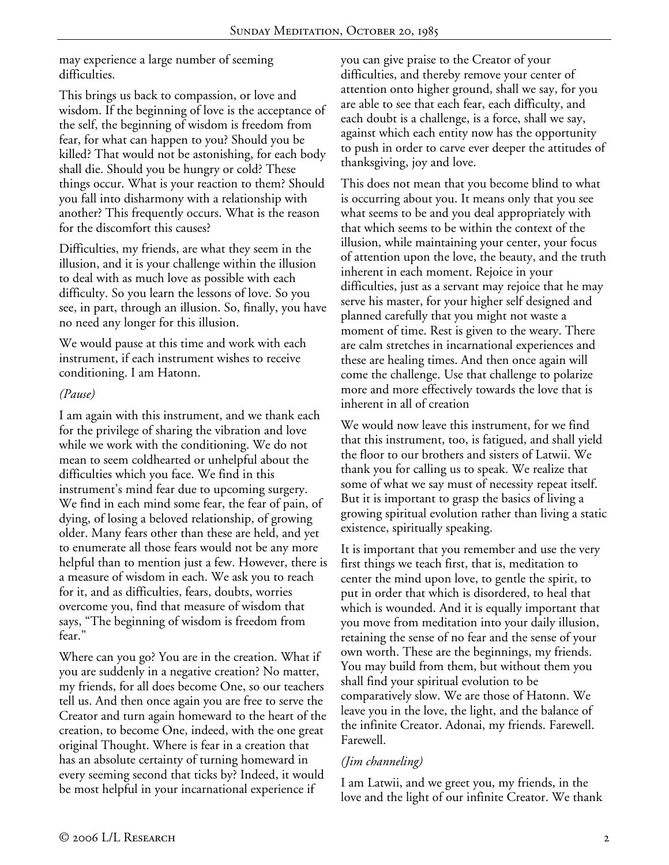may experience a large number of seeming difficulties.

This brings us back to compassion, or love and wisdom. If the beginning of love is the acceptance of the self, the beginning of wisdom is freedom from fear, for what can happen to you? Should you be killed? That would not be astonishing, for each body shall die. Should you be hungry or cold? These things occur. What is your reaction to them? Should you fall into disharmony with a relationship with another? This frequently occurs. What is the reason for the discomfort this causes?

Difficulties, my friends, are what they seem in the illusion, and it is your challenge within the illusion to deal with as much love as possible with each difficulty. So you learn the lessons of love. So you see, in part, through an illusion. So, finally, you have no need any longer for this illusion.

We would pause at this time and work with each instrument, if each instrument wishes to receive conditioning. I am Hatonn.

## *(Pause)*

I am again with this instrument, and we thank each for the privilege of sharing the vibration and love while we work with the conditioning. We do not mean to seem coldhearted or unhelpful about the difficulties which you face. We find in this instrument's mind fear due to upcoming surgery. We find in each mind some fear, the fear of pain, of dying, of losing a beloved relationship, of growing older. Many fears other than these are held, and yet to enumerate all those fears would not be any more helpful than to mention just a few. However, there is a measure of wisdom in each. We ask you to reach for it, and as difficulties, fears, doubts, worries overcome you, find that measure of wisdom that says, "The beginning of wisdom is freedom from fear."

Where can you go? You are in the creation. What if you are suddenly in a negative creation? No matter, my friends, for all does become One, so our teachers tell us. And then once again you are free to serve the Creator and turn again homeward to the heart of the creation, to become One, indeed, with the one great original Thought. Where is fear in a creation that has an absolute certainty of turning homeward in every seeming second that ticks by? Indeed, it would be most helpful in your incarnational experience if

you can give praise to the Creator of your difficulties, and thereby remove your center of attention onto higher ground, shall we say, for you are able to see that each fear, each difficulty, and each doubt is a challenge, is a force, shall we say, against which each entity now has the opportunity to push in order to carve ever deeper the attitudes of thanksgiving, joy and love.

This does not mean that you become blind to what is occurring about you. It means only that you see what seems to be and you deal appropriately with that which seems to be within the context of the illusion, while maintaining your center, your focus of attention upon the love, the beauty, and the truth inherent in each moment. Rejoice in your difficulties, just as a servant may rejoice that he may serve his master, for your higher self designed and planned carefully that you might not waste a moment of time. Rest is given to the weary. There are calm stretches in incarnational experiences and these are healing times. And then once again will come the challenge. Use that challenge to polarize more and more effectively towards the love that is inherent in all of creation

We would now leave this instrument, for we find that this instrument, too, is fatigued, and shall yield the floor to our brothers and sisters of Latwii. We thank you for calling us to speak. We realize that some of what we say must of necessity repeat itself. But it is important to grasp the basics of living a growing spiritual evolution rather than living a static existence, spiritually speaking.

It is important that you remember and use the very first things we teach first, that is, meditation to center the mind upon love, to gentle the spirit, to put in order that which is disordered, to heal that which is wounded. And it is equally important that you move from meditation into your daily illusion, retaining the sense of no fear and the sense of your own worth. These are the beginnings, my friends. You may build from them, but without them you shall find your spiritual evolution to be comparatively slow. We are those of Hatonn. We leave you in the love, the light, and the balance of the infinite Creator. Adonai, my friends. Farewell. Farewell.

# *(Jim channeling)*

I am Latwii, and we greet you, my friends, in the love and the light of our infinite Creator. We thank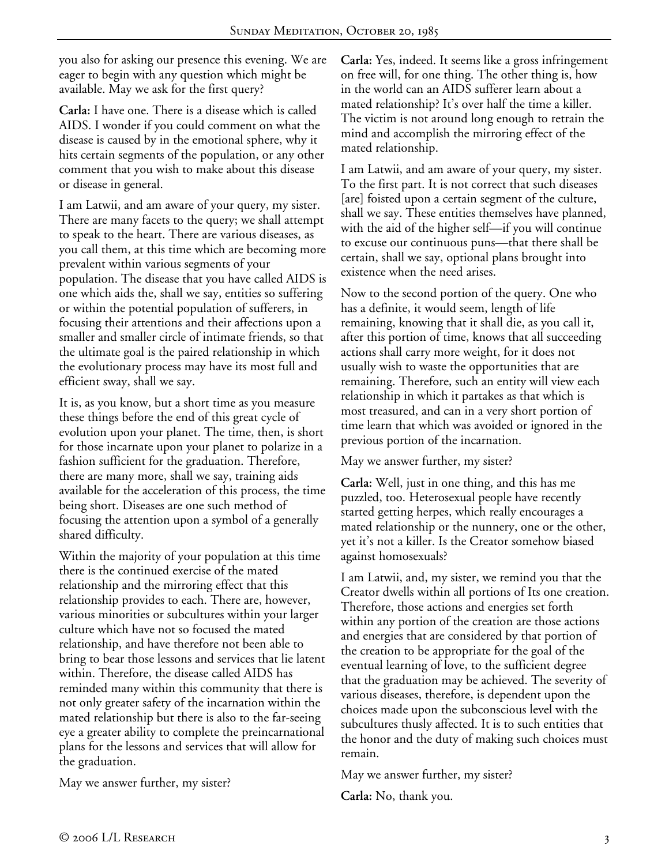you also for asking our presence this evening. We are eager to begin with any question which might be available. May we ask for the first query?

**Carla:** I have one. There is a disease which is called AIDS. I wonder if you could comment on what the disease is caused by in the emotional sphere, why it hits certain segments of the population, or any other comment that you wish to make about this disease or disease in general.

I am Latwii, and am aware of your query, my sister. There are many facets to the query; we shall attempt to speak to the heart. There are various diseases, as you call them, at this time which are becoming more prevalent within various segments of your population. The disease that you have called AIDS is one which aids the, shall we say, entities so suffering or within the potential population of sufferers, in focusing their attentions and their affections upon a smaller and smaller circle of intimate friends, so that the ultimate goal is the paired relationship in which the evolutionary process may have its most full and efficient sway, shall we say.

It is, as you know, but a short time as you measure these things before the end of this great cycle of evolution upon your planet. The time, then, is short for those incarnate upon your planet to polarize in a fashion sufficient for the graduation. Therefore, there are many more, shall we say, training aids available for the acceleration of this process, the time being short. Diseases are one such method of focusing the attention upon a symbol of a generally shared difficulty.

Within the majority of your population at this time there is the continued exercise of the mated relationship and the mirroring effect that this relationship provides to each. There are, however, various minorities or subcultures within your larger culture which have not so focused the mated relationship, and have therefore not been able to bring to bear those lessons and services that lie latent within. Therefore, the disease called AIDS has reminded many within this community that there is not only greater safety of the incarnation within the mated relationship but there is also to the far-seeing eye a greater ability to complete the preincarnational plans for the lessons and services that will allow for the graduation.

May we answer further, my sister?

**Carla:** Yes, indeed. It seems like a gross infringement on free will, for one thing. The other thing is, how in the world can an AIDS sufferer learn about a mated relationship? It's over half the time a killer. The victim is not around long enough to retrain the mind and accomplish the mirroring effect of the mated relationship.

I am Latwii, and am aware of your query, my sister. To the first part. It is not correct that such diseases [are] foisted upon a certain segment of the culture, shall we say. These entities themselves have planned, with the aid of the higher self—if you will continue to excuse our continuous puns—that there shall be certain, shall we say, optional plans brought into existence when the need arises.

Now to the second portion of the query. One who has a definite, it would seem, length of life remaining, knowing that it shall die, as you call it, after this portion of time, knows that all succeeding actions shall carry more weight, for it does not usually wish to waste the opportunities that are remaining. Therefore, such an entity will view each relationship in which it partakes as that which is most treasured, and can in a very short portion of time learn that which was avoided or ignored in the previous portion of the incarnation.

May we answer further, my sister?

**Carla:** Well, just in one thing, and this has me puzzled, too. Heterosexual people have recently started getting herpes, which really encourages a mated relationship or the nunnery, one or the other, yet it's not a killer. Is the Creator somehow biased against homosexuals?

I am Latwii, and, my sister, we remind you that the Creator dwells within all portions of Its one creation. Therefore, those actions and energies set forth within any portion of the creation are those actions and energies that are considered by that portion of the creation to be appropriate for the goal of the eventual learning of love, to the sufficient degree that the graduation may be achieved. The severity of various diseases, therefore, is dependent upon the choices made upon the subconscious level with the subcultures thusly affected. It is to such entities that the honor and the duty of making such choices must remain.

May we answer further, my sister?

**Carla:** No, thank you.